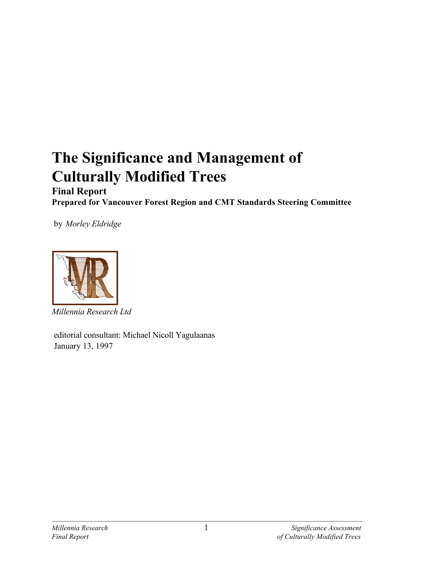# **The Significance and Management of Culturally Modified Trees**

# **Final Report Prepared for Vancouver Forest Region and CMT Standards Steering Committee**

by *Morley Eldridge*



*Millennia Research Ltd*

 editorial consultant: Michael Nicoll Yagulaanas January 13, 1997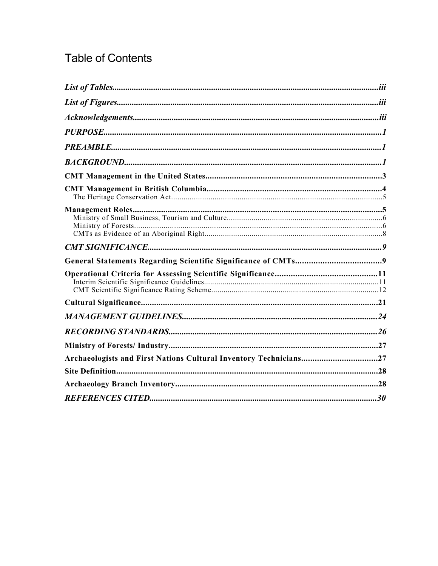# **Table of Contents**

| Archaeologists and First Nations Cultural Inventory Technicians27 |  |
|-------------------------------------------------------------------|--|
|                                                                   |  |
|                                                                   |  |
|                                                                   |  |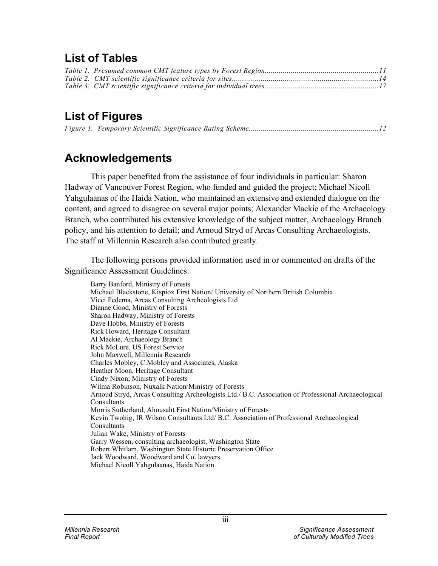# **List of Tables**

# **List of Figures**

# **Acknowledgements**

This paper benefited from the assistance of four individuals in particular: Sharon Hadway of Vancouver Forest Region, who funded and guided the project; Michael Nicoll Yahgulaanas of the Haida Nation, who maintained an extensive and extended dialogue on the content, and agreed to disagree on several major points; Alexander Mackie of the Archaeology Branch, who contributed his extensive knowledge of the subject matter, Archaeology Branch policy, and his attention to detail; and Arnoud Stryd of Arcas Consulting Archaeologists. The staff at Millennia Research also contributed greatly.

The following persons provided information used in or commented on drafts of the Significance Assessment Guidelines:

Barry Banford, Ministry of Forests Michael Blackstone, Kispiox First Nation/ University of Northern British Columbia Vicci Fedema, Arcas Consulting Archeologists Ltd Dianne Good, Ministry of Forests Sharon Hadway, Ministry of Forests Dave Hobbs, Ministry of Forests Rick Howard, Heritage Consultant Al Mackie, Archaeology Branch Rick McLure, US Forest Service John Maxwell, Millennia Research Charles Mobley, C.Mobley and Associates, Alaska Heather Moon, Heritage Consultant Cindy Nixon, Ministry of Forests Wilma Robinson, Nuxalk Nation/Ministry of Forests Arnoud Stryd, Arcas Consulting Archeologists Ltd./ B.C. Association of Professional Archaeological Consultants Morris Sutherland, Ahousaht First Nation/Ministry of Forests Kevin Twohig, IR Wilson Consultants Ltd/ B.C. Association of Professional Archaeological Consultants Julian Wake, Ministry of Forests Garry Wessen, consulting archaeologist, Washington State Robert Whitlam, Washington State Historic Preservation Office Jack Woodward, Woodward and Co. lawyers Michael Nicoll Yahgulaanas, Haida Nation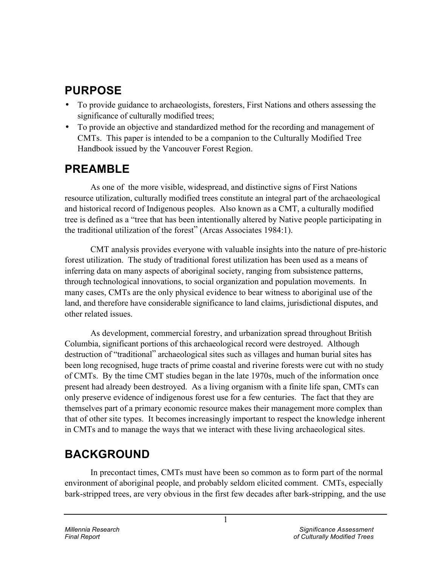# **PURPOSE**

- To provide guidance to archaeologists, foresters, First Nations and others assessing the significance of culturally modified trees;
- To provide an objective and standardized method for the recording and management of CMTs. This paper is intended to be a companion to the Culturally Modified Tree Handbook issued by the Vancouver Forest Region.

# **PREAMBLE**

As one of the more visible, widespread, and distinctive signs of First Nations resource utilization, culturally modified trees constitute an integral part of the archaeological and historical record of Indigenous peoples. Also known as a CMT, a culturally modified tree is defined as a "tree that has been intentionally altered by Native people participating in the traditional utilization of the forest" (Arcas Associates 1984:1).

CMT analysis provides everyone with valuable insights into the nature of pre-historic forest utilization. The study of traditional forest utilization has been used as a means of inferring data on many aspects of aboriginal society, ranging from subsistence patterns, through technological innovations, to social organization and population movements. In many cases, CMTs are the only physical evidence to bear witness to aboriginal use of the land, and therefore have considerable significance to land claims, jurisdictional disputes, and other related issues.

As development, commercial forestry, and urbanization spread throughout British Columbia, significant portions of this archaeological record were destroyed. Although destruction of "traditional" archaeological sites such as villages and human burial sites has been long recognised, huge tracts of prime coastal and riverine forests were cut with no study of CMTs. By the time CMT studies began in the late 1970s, much of the information once present had already been destroyed. As a living organism with a finite life span, CMTs can only preserve evidence of indigenous forest use for a few centuries. The fact that they are themselves part of a primary economic resource makes their management more complex than that of other site types. It becomes increasingly important to respect the knowledge inherent in CMTs and to manage the ways that we interact with these living archaeological sites.

# **BACKGROUND**

In precontact times, CMTs must have been so common as to form part of the normal environment of aboriginal people, and probably seldom elicited comment. CMTs, especially bark-stripped trees, are very obvious in the first few decades after bark-stripping, and the use

1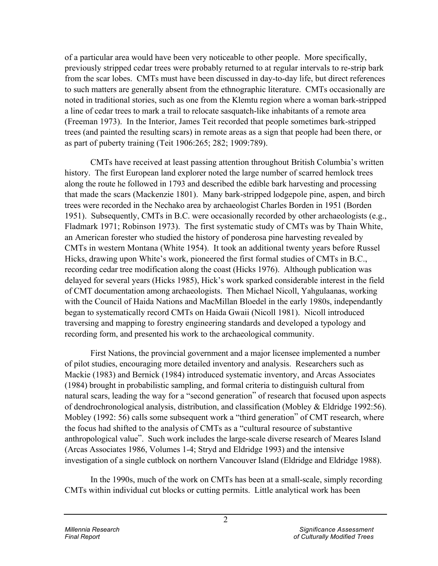of a particular area would have been very noticeable to other people. More specifically, previously stripped cedar trees were probably returned to at regular intervals to re-strip bark from the scar lobes. CMTs must have been discussed in day-to-day life, but direct references to such matters are generally absent from the ethnographic literature. CMTs occasionally are noted in traditional stories, such as one from the Klemtu region where a woman bark-stripped a line of cedar trees to mark a trail to relocate sasquatch-like inhabitants of a remote area (Freeman 1973). In the Interior, James Teit recorded that people sometimes bark-stripped trees (and painted the resulting scars) in remote areas as a sign that people had been there, or as part of puberty training (Teit 1906:265; 282; 1909:789).

CMTs have received at least passing attention throughout British Columbia's written history. The first European land explorer noted the large number of scarred hemlock trees along the route he followed in 1793 and described the edible bark harvesting and processing that made the scars (Mackenzie 1801). Many bark-stripped lodgepole pine, aspen, and birch trees were recorded in the Nechako area by archaeologist Charles Borden in 1951 (Borden 1951). Subsequently, CMTs in B.C. were occasionally recorded by other archaeologists (e.g., Fladmark 1971; Robinson 1973). The first systematic study of CMTs was by Thain White, an American forester who studied the history of ponderosa pine harvesting revealed by CMTs in western Montana (White 1954). It took an additional twenty years before Russel Hicks, drawing upon White's work, pioneered the first formal studies of CMTs in B.C., recording cedar tree modification along the coast (Hicks 1976). Although publication was delayed for several years (Hicks 1985), Hick's work sparked considerable interest in the field of CMT documentation among archaeologists. Then Michael Nicoll, Yahgulaanas, working with the Council of Haida Nations and MacMillan Bloedel in the early 1980s, independantly began to systematically record CMTs on Haida Gwaii (Nicoll 1981). Nicoll introduced traversing and mapping to forestry engineering standards and developed a typology and recording form, and presented his work to the archaeological community.

First Nations, the provincial government and a major licensee implemented a number of pilot studies, encouraging more detailed inventory and analysis. Researchers such as Mackie (1983) and Bernick (1984) introduced systematic inventory, and Arcas Associates (1984) brought in probabilistic sampling, and formal criteria to distinguish cultural from natural scars, leading the way for a "second generation" of research that focused upon aspects of dendrochronological analysis, distribution, and classification (Mobley & Eldridge 1992:56). Mobley (1992: 56) calls some subsequent work a "third generation" of CMT research, where the focus had shifted to the analysis of CMTs as a "cultural resource of substantive anthropological value". Such work includes the large-scale diverse research of Meares Island (Arcas Associates 1986, Volumes 1-4; Stryd and Eldridge 1993) and the intensive investigation of a single cutblock on northern Vancouver Island (Eldridge and Eldridge 1988).

In the 1990s, much of the work on CMTs has been at a small-scale, simply recording CMTs within individual cut blocks or cutting permits. Little analytical work has been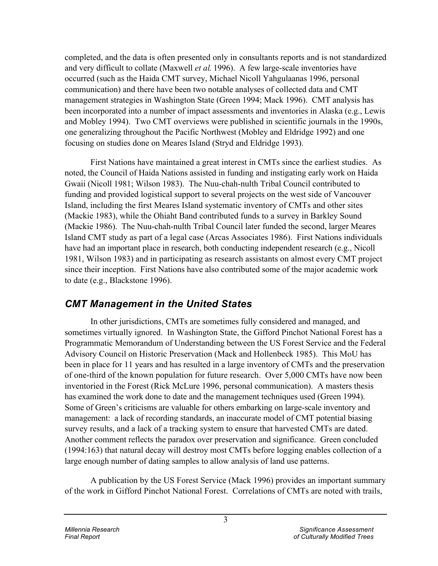completed, and the data is often presented only in consultants reports and is not standardized and very difficult to collate (Maxwell *et al*. 1996). A few large-scale inventories have occurred (such as the Haida CMT survey, Michael Nicoll Yahgulaanas 1996, personal communication) and there have been two notable analyses of collected data and CMT management strategies in Washington State (Green 1994; Mack 1996). CMT analysis has been incorporated into a number of impact assessments and inventories in Alaska (e.g., Lewis and Mobley 1994). Two CMT overviews were published in scientific journals in the 1990s, one generalizing throughout the Pacific Northwest (Mobley and Eldridge 1992) and one focusing on studies done on Meares Island (Stryd and Eldridge 1993).

First Nations have maintained a great interest in CMTs since the earliest studies. As noted, the Council of Haida Nations assisted in funding and instigating early work on Haida Gwaii (Nicoll 1981; Wilson 1983). The Nuu-chah-nulth Tribal Council contributed to funding and provided logistical support to several projects on the west side of Vancouver Island, including the first Meares Island systematic inventory of CMTs and other sites (Mackie 1983), while the Ohiaht Band contributed funds to a survey in Barkley Sound (Mackie 1986). The Nuu-chah-nulth Tribal Council later funded the second, larger Meares Island CMT study as part of a legal case (Arcas Associates 1986). First Nations individuals have had an important place in research, both conducting independent research (e.g., Nicoll 1981, Wilson 1983) and in participating as research assistants on almost every CMT project since their inception. First Nations have also contributed some of the major academic work to date (e.g., Blackstone 1996).

# *CMT Management in the United States*

In other jurisdictions, CMTs are sometimes fully considered and managed, and sometimes virtually ignored. In Washington State, the Gifford Pinchot National Forest has a Programmatic Memorandum of Understanding between the US Forest Service and the Federal Advisory Council on Historic Preservation (Mack and Hollenbeck 1985). This MoU has been in place for 11 years and has resulted in a large inventory of CMTs and the preservation of one-third of the known population for future research. Over 5,000 CMTs have now been inventoried in the Forest (Rick McLure 1996, personal communication). A masters thesis has examined the work done to date and the management techniques used (Green 1994). Some of Green's criticisms are valuable for others embarking on large-scale inventory and management: a lack of recording standards, an inaccurate model of CMT potential biasing survey results, and a lack of a tracking system to ensure that harvested CMTs are dated. Another comment reflects the paradox over preservation and significance. Green concluded (1994:163) that natural decay will destroy most CMTs before logging enables collection of a large enough number of dating samples to allow analysis of land use patterns.

A publication by the US Forest Service (Mack 1996) provides an important summary of the work in Gifford Pinchot National Forest. Correlations of CMTs are noted with trails,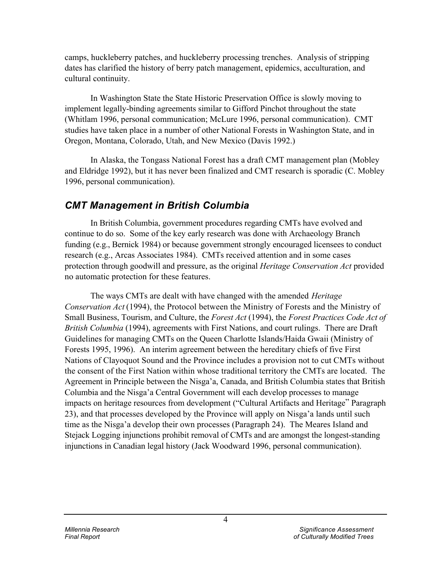camps, huckleberry patches, and huckleberry processing trenches. Analysis of stripping dates has clarified the history of berry patch management, epidemics, acculturation, and cultural continuity.

In Washington State the State Historic Preservation Office is slowly moving to implement legally-binding agreements similar to Gifford Pinchot throughout the state (Whitlam 1996, personal communication; McLure 1996, personal communication). CMT studies have taken place in a number of other National Forests in Washington State, and in Oregon, Montana, Colorado, Utah, and New Mexico (Davis 1992.)

In Alaska, the Tongass National Forest has a draft CMT management plan (Mobley and Eldridge 1992), but it has never been finalized and CMT research is sporadic (C. Mobley 1996, personal communication).

# *CMT Management in British Columbia*

In British Columbia, government procedures regarding CMTs have evolved and continue to do so. Some of the key early research was done with Archaeology Branch funding (e.g., Bernick 1984) or because government strongly encouraged licensees to conduct research (e.g., Arcas Associates 1984). CMTs received attention and in some cases protection through goodwill and pressure, as the original *Heritage Conservation Act* provided no automatic protection for these features.

The ways CMTs are dealt with have changed with the amended *Heritage Conservation Act* (1994), the Protocol between the Ministry of Forests and the Ministry of Small Business, Tourism, and Culture, the *Forest Act* (1994), the *Forest Practices Code Act of British Columbia* (1994), agreements with First Nations, and court rulings. There are Draft Guidelines for managing CMTs on the Queen Charlotte Islands/Haida Gwaii (Ministry of Forests 1995, 1996). An interim agreement between the hereditary chiefs of five First Nations of Clayoquot Sound and the Province includes a provision not to cut CMTs without the consent of the First Nation within whose traditional territory the CMTs are located. The Agreement in Principle between the Nisga'a, Canada, and British Columbia states that British Columbia and the Nisga'a Central Government will each develop processes to manage impacts on heritage resources from development ("Cultural Artifacts and Heritage" Paragraph 23), and that processes developed by the Province will apply on Nisga'a lands until such time as the Nisga'a develop their own processes (Paragraph 24). The Meares Island and Stejack Logging injunctions prohibit removal of CMTs and are amongst the longest-standing injunctions in Canadian legal history (Jack Woodward 1996, personal communication).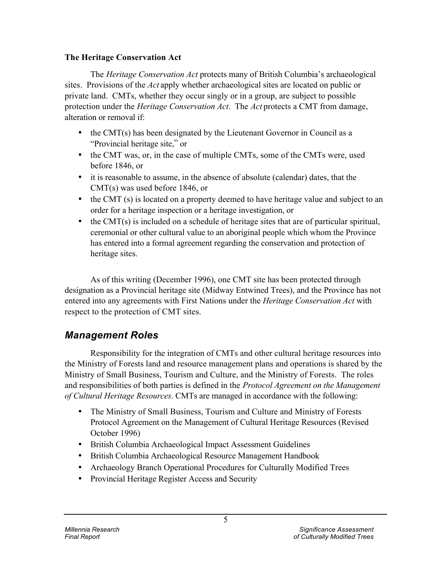## **The Heritage Conservation Act**

The *Heritage Conservation Act* protects many of British Columbia's archaeological sites. Provisions of the *Act* apply whether archaeological sites are located on public or private land. CMTs, whether they occur singly or in a group, are subject to possible protection under the *Heritage Conservation Act*. The *Act* protects a CMT from damage, alteration or removal if:

- the CMT(s) has been designated by the Lieutenant Governor in Council as a "Provincial heritage site," or
- the CMT was, or, in the case of multiple CMTs, some of the CMTs were, used before 1846, or
- it is reasonable to assume, in the absence of absolute (calendar) dates, that the CMT(s) was used before 1846, or
- the CMT (s) is located on a property deemed to have heritage value and subject to an order for a heritage inspection or a heritage investigation, or
- $\cdot$  the CMT(s) is included on a schedule of heritage sites that are of particular spiritual, ceremonial or other cultural value to an aboriginal people which whom the Province has entered into a formal agreement regarding the conservation and protection of heritage sites.

As of this writing (December 1996), one CMT site has been protected through designation as a Provincial heritage site (Midway Entwined Trees), and the Province has not entered into any agreements with First Nations under the *Heritage Conservation Act* with respect to the protection of CMT sites.

# *Management Roles*

Responsibility for the integration of CMTs and other cultural heritage resources into the Ministry of Forests land and resource management plans and operations is shared by the Ministry of Small Business, Tourism and Culture, and the Ministry of Forests. The roles and responsibilities of both parties is defined in the *Protocol Agreement on the Management of Cultural Heritage Resources*. CMTs are managed in accordance with the following:

- The Ministry of Small Business, Tourism and Culture and Ministry of Forests Protocol Agreement on the Management of Cultural Heritage Resources (Revised October 1996)
- British Columbia Archaeological Impact Assessment Guidelines
- British Columbia Archaeological Resource Management Handbook
- Archaeology Branch Operational Procedures for Culturally Modified Trees
- Provincial Heritage Register Access and Security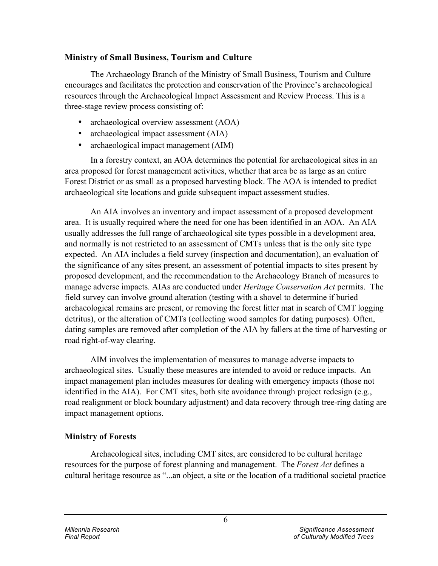### **Ministry of Small Business, Tourism and Culture**

The Archaeology Branch of the Ministry of Small Business, Tourism and Culture encourages and facilitates the protection and conservation of the Province's archaeological resources through the Archaeological Impact Assessment and Review Process. This is a three-stage review process consisting of:

- archaeological overview assessment (AOA)
- archaeological impact assessment (AIA)
- archaeological impact management (AIM)

In a forestry context, an AOA determines the potential for archaeological sites in an area proposed for forest management activities, whether that area be as large as an entire Forest District or as small as a proposed harvesting block. The AOA is intended to predict archaeological site locations and guide subsequent impact assessment studies.

An AIA involves an inventory and impact assessment of a proposed development area. It is usually required where the need for one has been identified in an AOA. An AIA usually addresses the full range of archaeological site types possible in a development area, and normally is not restricted to an assessment of CMTs unless that is the only site type expected. An AIA includes a field survey (inspection and documentation), an evaluation of the significance of any sites present, an assessment of potential impacts to sites present by proposed development, and the recommendation to the Archaeology Branch of measures to manage adverse impacts. AIAs are conducted under *Heritage Conservation Act* permits. The field survey can involve ground alteration (testing with a shovel to determine if buried archaeological remains are present, or removing the forest litter mat in search of CMT logging detritus), or the alteration of CMTs (collecting wood samples for dating purposes). Often, dating samples are removed after completion of the AIA by fallers at the time of harvesting or road right-of-way clearing.

AIM involves the implementation of measures to manage adverse impacts to archaeological sites. Usually these measures are intended to avoid or reduce impacts. An impact management plan includes measures for dealing with emergency impacts (those not identified in the AIA). For CMT sites, both site avoidance through project redesign (e.g., road realignment or block boundary adjustment) and data recovery through tree-ring dating are impact management options.

## **Ministry of Forests**

Archaeological sites, including CMT sites, are considered to be cultural heritage resources for the purpose of forest planning and management. The *Forest Act* defines a cultural heritage resource as "...an object, a site or the location of a traditional societal practice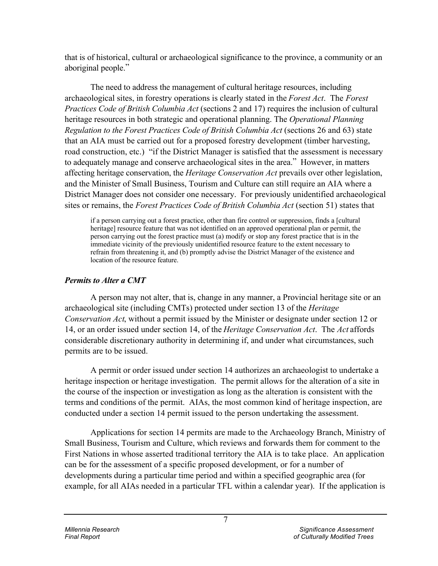that is of historical, cultural or archaeological significance to the province, a community or an aboriginal people."

The need to address the management of cultural heritage resources, including archaeological sites, in forestry operations is clearly stated in the *Forest Act*. The *Forest Practices Code of British Columbia Act* (sections 2 and 17) requires the inclusion of cultural heritage resources in both strategic and operational planning. The *Operational Planning Regulation to the Forest Practices Code of British Columbia Act* (sections 26 and 63) state that an AIA must be carried out for a proposed forestry development (timber harvesting, road construction, etc.) "if the District Manager is satisfied that the assessment is necessary to adequately manage and conserve archaeological sites in the area." However, in matters affecting heritage conservation, the *Heritage Conservation Act* prevails over other legislation, and the Minister of Small Business, Tourism and Culture can still require an AIA where a District Manager does not consider one necessary. For previously unidentified archaeological sites or remains, the *Forest Practices Code of British Columbia Act* (section 51) states that

if a person carrying out a forest practice, other than fire control or suppression, finds a [cultural heritage] resource feature that was not identified on an approved operational plan or permit, the person carrying out the forest practice must (a) modify or stop any forest practice that is in the immediate vicinity of the previously unidentified resource feature to the extent necessary to refrain from threatening it, and (b) promptly advise the District Manager of the existence and location of the resource feature.

## *Permits to Alter a CMT*

A person may not alter, that is, change in any manner, a Provincial heritage site or an archaeological site (including CMTs) protected under section 13 of the *Heritage Conservation Act*, without a permit issued by the Minister or designate under section 12 or 14, or an order issued under section 14, of the *Heritage Conservation Act*. The *Act* affords considerable discretionary authority in determining if, and under what circumstances, such permits are to be issued.

A permit or order issued under section 14 authorizes an archaeologist to undertake a heritage inspection or heritage investigation. The permit allows for the alteration of a site in the course of the inspection or investigation as long as the alteration is consistent with the terms and conditions of the permit. AIAs, the most common kind of heritage inspection, are conducted under a section 14 permit issued to the person undertaking the assessment.

Applications for section 14 permits are made to the Archaeology Branch, Ministry of Small Business, Tourism and Culture, which reviews and forwards them for comment to the First Nations in whose asserted traditional territory the AIA is to take place. An application can be for the assessment of a specific proposed development, or for a number of developments during a particular time period and within a specified geographic area (for example, for all AIAs needed in a particular TFL within a calendar year). If the application is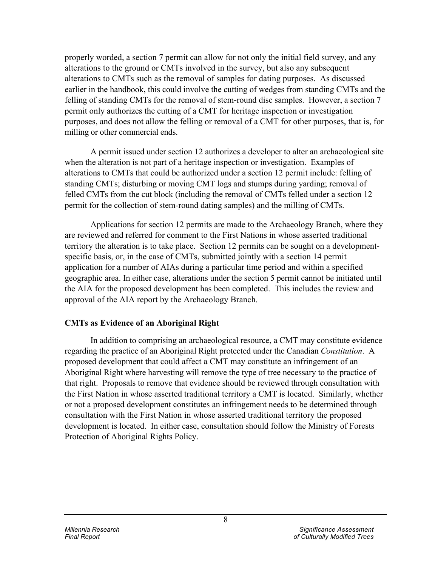properly worded, a section 7 permit can allow for not only the initial field survey, and any alterations to the ground or CMTs involved in the survey, but also any subsequent alterations to CMTs such as the removal of samples for dating purposes. As discussed earlier in the handbook, this could involve the cutting of wedges from standing CMTs and the felling of standing CMTs for the removal of stem-round disc samples. However, a section 7 permit only authorizes the cutting of a CMT for heritage inspection or investigation purposes, and does not allow the felling or removal of a CMT for other purposes, that is, for milling or other commercial ends.

A permit issued under section 12 authorizes a developer to alter an archaeological site when the alteration is not part of a heritage inspection or investigation. Examples of alterations to CMTs that could be authorized under a section 12 permit include: felling of standing CMTs; disturbing or moving CMT logs and stumps during yarding; removal of felled CMTs from the cut block (including the removal of CMTs felled under a section 12 permit for the collection of stem-round dating samples) and the milling of CMTs.

Applications for section 12 permits are made to the Archaeology Branch, where they are reviewed and referred for comment to the First Nations in whose asserted traditional territory the alteration is to take place. Section 12 permits can be sought on a developmentspecific basis, or, in the case of CMTs, submitted jointly with a section 14 permit application for a number of AIAs during a particular time period and within a specified geographic area. In either case, alterations under the section 5 permit cannot be initiated until the AIA for the proposed development has been completed. This includes the review and approval of the AIA report by the Archaeology Branch.

### **CMTs as Evidence of an Aboriginal Right**

In addition to comprising an archaeological resource, a CMT may constitute evidence regarding the practice of an Aboriginal Right protected under the Canadian *Constitution*. A proposed development that could affect a CMT may constitute an infringement of an Aboriginal Right where harvesting will remove the type of tree necessary to the practice of that right. Proposals to remove that evidence should be reviewed through consultation with the First Nation in whose asserted traditional territory a CMT is located. Similarly, whether or not a proposed development constitutes an infringement needs to be determined through consultation with the First Nation in whose asserted traditional territory the proposed development is located. In either case, consultation should follow the Ministry of Forests Protection of Aboriginal Rights Policy.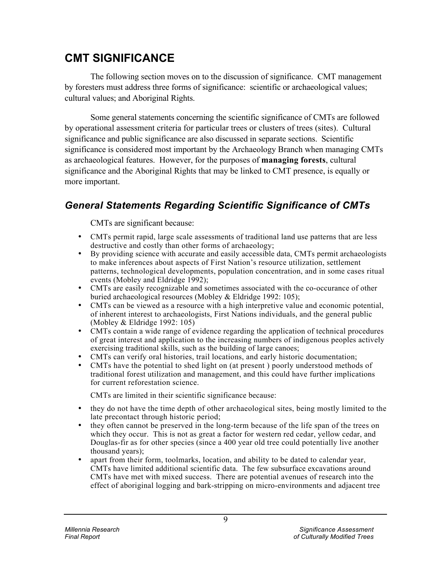# **CMT SIGNIFICANCE**

The following section moves on to the discussion of significance. CMT management by foresters must address three forms of significance: scientific or archaeological values; cultural values; and Aboriginal Rights.

Some general statements concerning the scientific significance of CMTs are followed by operational assessment criteria for particular trees or clusters of trees (sites). Cultural significance and public significance are also discussed in separate sections. Scientific significance is considered most important by the Archaeology Branch when managing CMTs as archaeological features. However, for the purposes of **managing forests**, cultural significance and the Aboriginal Rights that may be linked to CMT presence, is equally or more important.

# *General Statements Regarding Scientific Significance of CMTs*

CMTs are significant because:

- CMTs permit rapid, large scale assessments of traditional land use patterns that are less destructive and costly than other forms of archaeology;
- By providing science with accurate and easily accessible data, CMTs permit archaeologists to make inferences about aspects of First Nation's resource utilization, settlement patterns, technological developments, population concentration, and in some cases ritual events (Mobley and Eldridge 1992);
- CMTs are easily recognizable and sometimes associated with the co-occurance of other buried archaeological resources (Mobley & Eldridge 1992: 105);
- CMTs can be viewed as a resource with a high interpretive value and economic potential, of inherent interest to archaeologists, First Nations individuals, and the general public (Mobley & Eldridge 1992: 105)
- CMTs contain a wide range of evidence regarding the application of technical procedures of great interest and application to the increasing numbers of indigenous peoples actively exercising traditional skills, such as the building of large canoes;
- CMTs can verify oral histories, trail locations, and early historic documentation;
- CMTs have the potential to shed light on (at present ) poorly understood methods of traditional forest utilization and management, and this could have further implications for current reforestation science.

CMTs are limited in their scientific significance because:

- they do not have the time depth of other archaeological sites, being mostly limited to the late precontact through historic period;
- they often cannot be preserved in the long-term because of the life span of the trees on which they occur. This is not as great a factor for western red cedar, yellow cedar, and Douglas-fir as for other species (since a 400 year old tree could potentially live another thousand years);
- apart from their form, toolmarks, location, and ability to be dated to calendar year, CMTs have limited additional scientific data. The few subsurface excavations around CMTs have met with mixed success. There are potential avenues of research into the effect of aboriginal logging and bark-stripping on micro-environments and adjacent tree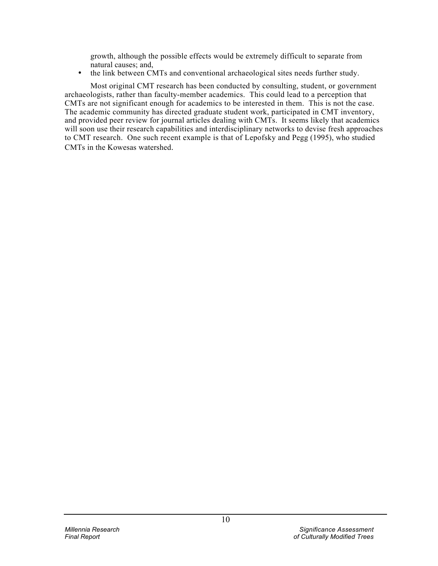growth, although the possible effects would be extremely difficult to separate from natural causes; and,

• the link between CMTs and conventional archaeological sites needs further study.

Most original CMT research has been conducted by consulting, student, or government archaeologists, rather than faculty-member academics. This could lead to a perception that CMTs are not significant enough for academics to be interested in them. This is not the case. The academic community has directed graduate student work, participated in CMT inventory, and provided peer review for journal articles dealing with CMTs. It seems likely that academics will soon use their research capabilities and interdisciplinary networks to devise fresh approaches to CMT research. One such recent example is that of Lepofsky and Pegg (1995), who studied CMTs in the Kowesas watershed.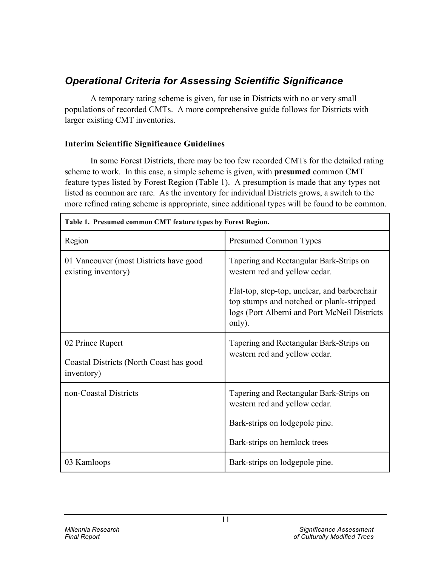# *Operational Criteria for Assessing Scientific Significance*

A temporary rating scheme is given, for use in Districts with no or very small populations of recorded CMTs. A more comprehensive guide follows for Districts with larger existing CMT inventories.

## **Interim Scientific Significance Guidelines**

In some Forest Districts, there may be too few recorded CMTs for the detailed rating scheme to work. In this case, a simple scheme is given, with **presumed** common CMT feature types listed by Forest Region (Table 1). A presumption is made that any types not listed as common are rare. As the inventory for individual Districts grows, a switch to the more refined rating scheme is appropriate, since additional types will be found to be common.

| Table 1. Presumed common CMT feature types by Forest Region.              |                                                                                                                                                                                                                                |  |  |
|---------------------------------------------------------------------------|--------------------------------------------------------------------------------------------------------------------------------------------------------------------------------------------------------------------------------|--|--|
| Region                                                                    | <b>Presumed Common Types</b>                                                                                                                                                                                                   |  |  |
| 01 Vancouver (most Districts have good<br>existing inventory)             | Tapering and Rectangular Bark-Strips on<br>western red and yellow cedar.<br>Flat-top, step-top, unclear, and barberchair<br>top stumps and notched or plank-stripped<br>logs (Port Alberni and Port McNeil Districts<br>only). |  |  |
| 02 Prince Rupert<br>Coastal Districts (North Coast has good<br>inventory) | Tapering and Rectangular Bark-Strips on<br>western red and yellow cedar.                                                                                                                                                       |  |  |
| non-Coastal Districts                                                     | Tapering and Rectangular Bark-Strips on<br>western red and yellow cedar.<br>Bark-strips on lodgepole pine.<br>Bark-strips on hemlock trees                                                                                     |  |  |
| 03 Kamloops                                                               | Bark-strips on lodgepole pine.                                                                                                                                                                                                 |  |  |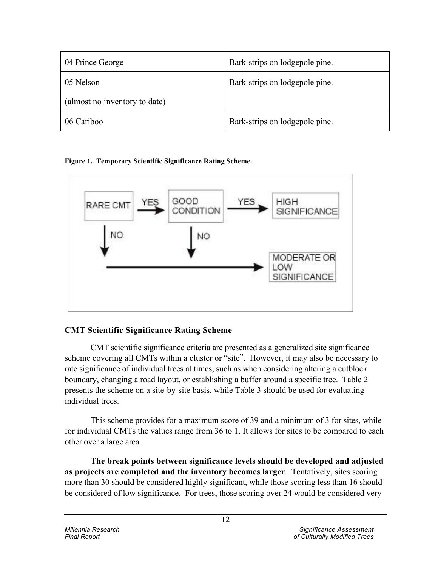| 04 Prince George              | Bark-strips on lodgepole pine. |
|-------------------------------|--------------------------------|
| 05 Nelson                     | Bark-strips on lodgepole pine. |
| (almost no inventory to date) |                                |
| 06 Cariboo                    | Bark-strips on lodgepole pine. |

**Figure 1. Temporary Scientific Significance Rating Scheme.**



## **CMT Scientific Significance Rating Scheme**

CMT scientific significance criteria are presented as a generalized site significance scheme covering all CMTs within a cluster or "site". However, it may also be necessary to rate significance of individual trees at times, such as when considering altering a cutblock boundary, changing a road layout, or establishing a buffer around a specific tree. Table 2 presents the scheme on a site-by-site basis, while Table 3 should be used for evaluating individual trees.

This scheme provides for a maximum score of 39 and a minimum of 3 for sites, while for individual CMTs the values range from 36 to 1. It allows for sites to be compared to each other over a large area.

**The break points between significance levels should be developed and adjusted as projects are completed and the inventory becomes larger**. Tentatively, sites scoring more than 30 should be considered highly significant, while those scoring less than 16 should be considered of low significance. For trees, those scoring over 24 would be considered very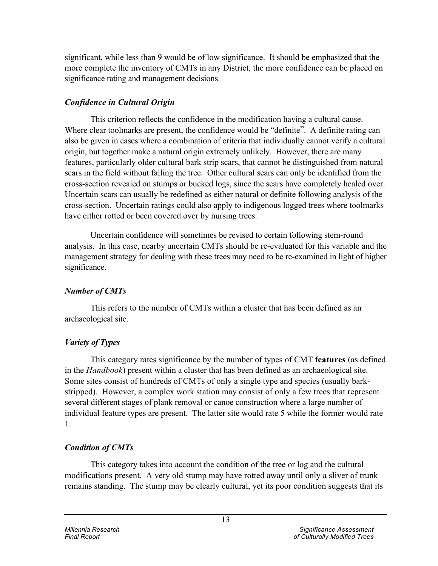significant, while less than 9 would be of low significance. It should be emphasized that the more complete the inventory of CMTs in any District, the more confidence can be placed on significance rating and management decisions.

## *Confidence in Cultural Origin*

This criterion reflects the confidence in the modification having a cultural cause. Where clear toolmarks are present, the confidence would be "definite". A definite rating can also be given in cases where a combination of criteria that individually cannot verify a cultural origin, but together make a natural origin extremely unlikely. However, there are many features, particularly older cultural bark strip scars, that cannot be distinguished from natural scars in the field without falling the tree. Other cultural scars can only be identified from the cross-section revealed on stumps or bucked logs, since the scars have completely healed over. Uncertain scars can usually be redefined as either natural or definite following analysis of the cross-section. Uncertain ratings could also apply to indigenous logged trees where toolmarks have either rotted or been covered over by nursing trees.

Uncertain confidence will sometimes be revised to certain following stem-round analysis. In this case, nearby uncertain CMTs should be re-evaluated for this variable and the management strategy for dealing with these trees may need to be re-examined in light of higher significance.

## *Number of CMTs*

This refers to the number of CMTs within a cluster that has been defined as an archaeological site.

## *Variety of Types*

This category rates significance by the number of types of CMT **features** (as defined in the *Handbook*) present within a cluster that has been defined as an archaeological site. Some sites consist of hundreds of CMTs of only a single type and species (usually barkstripped). However, a complex work station may consist of only a few trees that represent several different stages of plank removal or canoe construction where a large number of individual feature types are present. The latter site would rate 5 while the former would rate 1.

## *Condition of CMTs*

This category takes into account the condition of the tree or log and the cultural modifications present. A very old stump may have rotted away until only a sliver of trunk remains standing. The stump may be clearly cultural, yet its poor condition suggests that its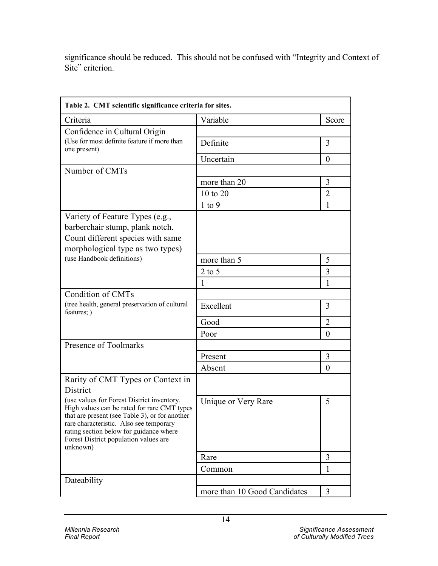significance should be reduced. This should not be confused with "Integrity and Context of Site" criterion.

| Table 2. CMT scientific significance criteria for sites.                                                                                                                                                                                                                               |                              |                |  |
|----------------------------------------------------------------------------------------------------------------------------------------------------------------------------------------------------------------------------------------------------------------------------------------|------------------------------|----------------|--|
| Criteria                                                                                                                                                                                                                                                                               | Variable                     | Score          |  |
| Confidence in Cultural Origin                                                                                                                                                                                                                                                          |                              |                |  |
| (Use for most definite feature if more than<br>one present)                                                                                                                                                                                                                            | Definite                     | 3              |  |
|                                                                                                                                                                                                                                                                                        | Uncertain                    | $\theta$       |  |
| Number of CMTs                                                                                                                                                                                                                                                                         |                              |                |  |
|                                                                                                                                                                                                                                                                                        | more than 20                 | 3              |  |
|                                                                                                                                                                                                                                                                                        | 10 to 20                     | $\overline{2}$ |  |
|                                                                                                                                                                                                                                                                                        | $1$ to $9$                   | 1              |  |
| Variety of Feature Types (e.g.,<br>barberchair stump, plank notch.<br>Count different species with same<br>morphological type as two types)                                                                                                                                            |                              |                |  |
| (use Handbook definitions)                                                                                                                                                                                                                                                             | more than 5                  | 5              |  |
|                                                                                                                                                                                                                                                                                        | $2$ to 5                     | 3              |  |
|                                                                                                                                                                                                                                                                                        | $\mathbf{1}$                 | 1              |  |
| Condition of CMTs                                                                                                                                                                                                                                                                      |                              |                |  |
| (tree health, general preservation of cultural<br>features; )                                                                                                                                                                                                                          | Excellent                    | 3              |  |
|                                                                                                                                                                                                                                                                                        | Good                         | $\overline{2}$ |  |
|                                                                                                                                                                                                                                                                                        | Poor                         | $\theta$       |  |
| Presence of Toolmarks                                                                                                                                                                                                                                                                  |                              |                |  |
|                                                                                                                                                                                                                                                                                        | Present                      | 3              |  |
|                                                                                                                                                                                                                                                                                        | Absent                       | $\theta$       |  |
| Rarity of CMT Types or Context in<br>District                                                                                                                                                                                                                                          |                              |                |  |
| (use values for Forest District inventory.<br>High values can be rated for rare CMT types<br>that are present (see Table 3), or for another<br>rare characteristic. Also see temporary<br>rating section below for guidance where<br>Forest District population values are<br>unknown) | Unique or Very Rare          | 5              |  |
|                                                                                                                                                                                                                                                                                        | Rare                         | 3              |  |
|                                                                                                                                                                                                                                                                                        | Common                       | 1              |  |
| Dateability                                                                                                                                                                                                                                                                            |                              |                |  |
|                                                                                                                                                                                                                                                                                        | more than 10 Good Candidates | 3              |  |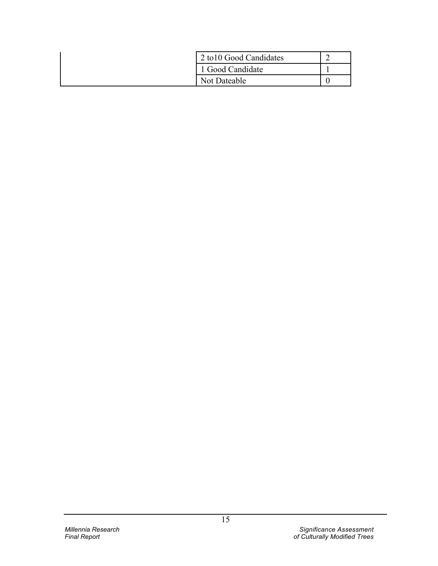| 2 to 10 Good Candidates |  |
|-------------------------|--|
| 1 Good Candidate        |  |
| Not Dateable            |  |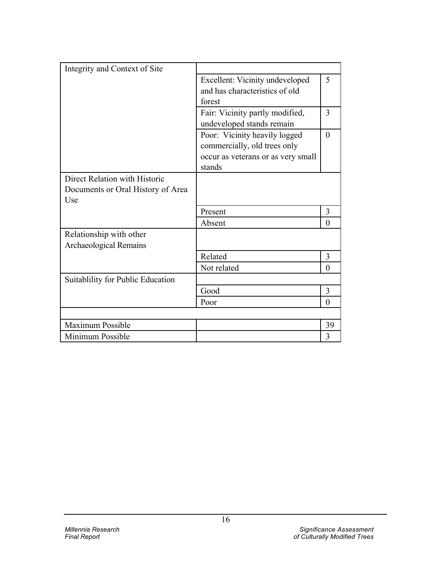| Excellent: Vicinity undeveloped    | 5                                                                                                |
|------------------------------------|--------------------------------------------------------------------------------------------------|
| and has characteristics of old     |                                                                                                  |
| forest                             |                                                                                                  |
|                                    | 3                                                                                                |
| undeveloped stands remain          |                                                                                                  |
|                                    | $\theta$                                                                                         |
|                                    |                                                                                                  |
| occur as veterans or as very small |                                                                                                  |
| stands                             |                                                                                                  |
|                                    |                                                                                                  |
|                                    |                                                                                                  |
|                                    |                                                                                                  |
| Present                            | 3                                                                                                |
| Absent                             | $\Omega$                                                                                         |
|                                    |                                                                                                  |
|                                    |                                                                                                  |
| Related                            | 3                                                                                                |
| Not related                        | $\Omega$                                                                                         |
|                                    |                                                                                                  |
| Good                               | 3                                                                                                |
| Poor                               | $\Omega$                                                                                         |
|                                    |                                                                                                  |
|                                    | 39                                                                                               |
|                                    | 3                                                                                                |
|                                    | Fair: Vicinity partly modified,<br>Poor: Vicinity heavily logged<br>commercially, old trees only |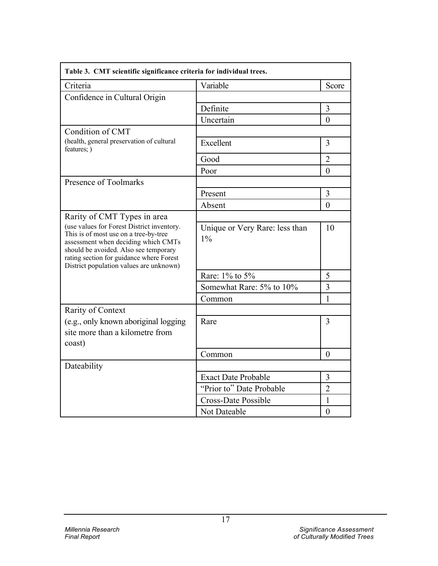| Table 3. CMT scientific significance criteria for individual trees.                                                                                                                                                                                        |                                         |                |
|------------------------------------------------------------------------------------------------------------------------------------------------------------------------------------------------------------------------------------------------------------|-----------------------------------------|----------------|
| Criteria                                                                                                                                                                                                                                                   | Variable                                | Score          |
| Confidence in Cultural Origin                                                                                                                                                                                                                              |                                         |                |
|                                                                                                                                                                                                                                                            | Definite                                | 3              |
|                                                                                                                                                                                                                                                            | Uncertain                               | $\theta$       |
| Condition of CMT                                                                                                                                                                                                                                           |                                         |                |
| (health, general preservation of cultural<br>features; )                                                                                                                                                                                                   | Excellent                               | 3              |
|                                                                                                                                                                                                                                                            | Good                                    | $\overline{2}$ |
|                                                                                                                                                                                                                                                            | Poor                                    | $\theta$       |
| Presence of Toolmarks                                                                                                                                                                                                                                      |                                         |                |
|                                                                                                                                                                                                                                                            | Present                                 | $\overline{3}$ |
|                                                                                                                                                                                                                                                            | Absent                                  | $\theta$       |
| Rarity of CMT Types in area                                                                                                                                                                                                                                |                                         |                |
| (use values for Forest District inventory.<br>This is of most use on a tree-by-tree<br>assessment when deciding which CMTs<br>should be avoided. Also see temporary<br>rating section for guidance where Forest<br>District population values are unknown) | Unique or Very Rare: less than<br>$1\%$ | 10             |
|                                                                                                                                                                                                                                                            | Rare: 1% to 5%                          | 5              |
|                                                                                                                                                                                                                                                            | Somewhat Rare: 5% to 10%                | $\overline{3}$ |
|                                                                                                                                                                                                                                                            | Common                                  | 1              |
| <b>Rarity of Context</b>                                                                                                                                                                                                                                   |                                         |                |
| (e.g., only known aboriginal logging)<br>site more than a kilometre from<br>coast)                                                                                                                                                                         | Rare                                    | 3              |
|                                                                                                                                                                                                                                                            | Common                                  | $\theta$       |
| Dateability                                                                                                                                                                                                                                                |                                         |                |
|                                                                                                                                                                                                                                                            | <b>Exact Date Probable</b>              | 3              |
|                                                                                                                                                                                                                                                            | "Prior to" Date Probable                | $\overline{2}$ |
|                                                                                                                                                                                                                                                            | <b>Cross-Date Possible</b>              | $\mathbf{1}$   |
|                                                                                                                                                                                                                                                            | Not Dateable                            | $\overline{0}$ |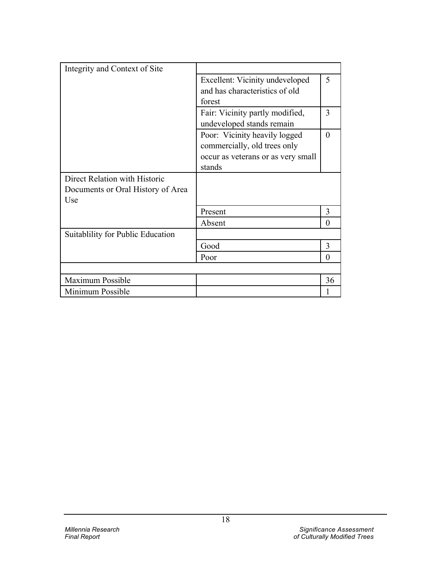| Integrity and Context of Site     |                                    |          |
|-----------------------------------|------------------------------------|----------|
|                                   | Excellent: Vicinity undeveloped    | 5        |
|                                   | and has characteristics of old     |          |
|                                   | forest                             |          |
|                                   | Fair: Vicinity partly modified,    | 3        |
|                                   | undeveloped stands remain          |          |
|                                   | Poor: Vicinity heavily logged      | $\theta$ |
|                                   | commercially, old trees only       |          |
|                                   | occur as veterans or as very small |          |
|                                   | stands                             |          |
| Direct Relation with Historic     |                                    |          |
| Documents or Oral History of Area |                                    |          |
| Use                               |                                    |          |
|                                   | Present                            | 3        |
|                                   | Absent                             | $\Omega$ |
| Suitablility for Public Education |                                    |          |
|                                   | Good                               | 3        |
|                                   | Poor                               | 0        |
|                                   |                                    |          |
| <b>Maximum Possible</b>           |                                    | 36       |
| Minimum Possible                  |                                    |          |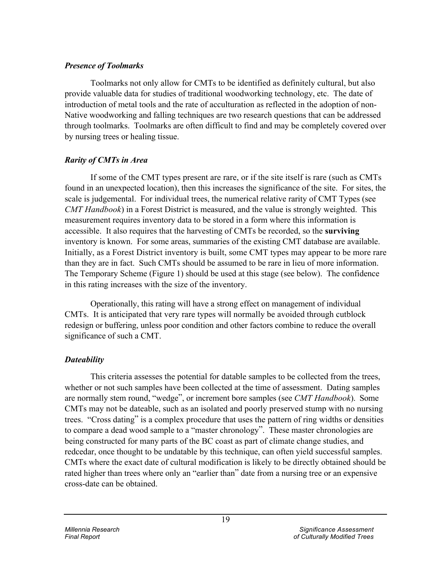### *Presence of Toolmarks*

Toolmarks not only allow for CMTs to be identified as definitely cultural, but also provide valuable data for studies of traditional woodworking technology, etc. The date of introduction of metal tools and the rate of acculturation as reflected in the adoption of non-Native woodworking and falling techniques are two research questions that can be addressed through toolmarks. Toolmarks are often difficult to find and may be completely covered over by nursing trees or healing tissue.

## *Rarity of CMTs in Area*

If some of the CMT types present are rare, or if the site itself is rare (such as CMTs found in an unexpected location), then this increases the significance of the site. For sites, the scale is judgemental. For individual trees, the numerical relative rarity of CMT Types (see *CMT Handbook*) in a Forest District is measured, and the value is strongly weighted. This measurement requires inventory data to be stored in a form where this information is accessible. It also requires that the harvesting of CMTs be recorded, so the **surviving** inventory is known. For some areas, summaries of the existing CMT database are available. Initially, as a Forest District inventory is built, some CMT types may appear to be more rare than they are in fact. Such CMTs should be assumed to be rare in lieu of more information. The Temporary Scheme (Figure 1) should be used at this stage (see below). The confidence in this rating increases with the size of the inventory.

Operationally, this rating will have a strong effect on management of individual CMTs. It is anticipated that very rare types will normally be avoided through cutblock redesign or buffering, unless poor condition and other factors combine to reduce the overall significance of such a CMT.

## *Dateability*

This criteria assesses the potential for datable samples to be collected from the trees, whether or not such samples have been collected at the time of assessment. Dating samples are normally stem round, "wedge", or increment bore samples (see *CMT Handbook*). Some CMTs may not be dateable, such as an isolated and poorly preserved stump with no nursing trees. "Cross dating" is a complex procedure that uses the pattern of ring widths or densities to compare a dead wood sample to a "master chronology". These master chronologies are being constructed for many parts of the BC coast as part of climate change studies, and redcedar, once thought to be undatable by this technique, can often yield successful samples. CMTs where the exact date of cultural modification is likely to be directly obtained should be rated higher than trees where only an "earlier than" date from a nursing tree or an expensive cross-date can be obtained.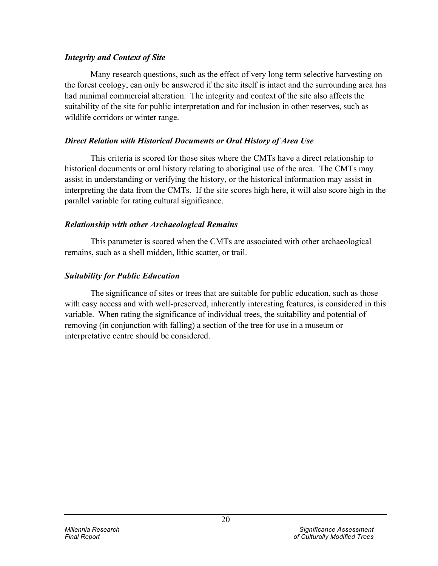### *Integrity and Context of Site*

Many research questions, such as the effect of very long term selective harvesting on the forest ecology, can only be answered if the site itself is intact and the surrounding area has had minimal commercial alteration. The integrity and context of the site also affects the suitability of the site for public interpretation and for inclusion in other reserves, such as wildlife corridors or winter range.

### *Direct Relation with Historical Documents or Oral History of Area Use*

This criteria is scored for those sites where the CMTs have a direct relationship to historical documents or oral history relating to aboriginal use of the area. The CMTs may assist in understanding or verifying the history, or the historical information may assist in interpreting the data from the CMTs. If the site scores high here, it will also score high in the parallel variable for rating cultural significance.

## *Relationship with other Archaeological Remains*

This parameter is scored when the CMTs are associated with other archaeological remains, such as a shell midden, lithic scatter, or trail.

## *Suitability for Public Education*

The significance of sites or trees that are suitable for public education, such as those with easy access and with well-preserved, inherently interesting features, is considered in this variable. When rating the significance of individual trees, the suitability and potential of removing (in conjunction with falling) a section of the tree for use in a museum or interpretative centre should be considered.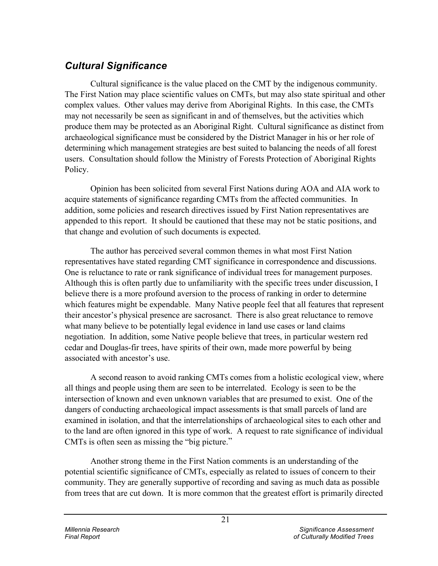# *Cultural Significance*

Cultural significance is the value placed on the CMT by the indigenous community. The First Nation may place scientific values on CMTs, but may also state spiritual and other complex values. Other values may derive from Aboriginal Rights. In this case, the CMTs may not necessarily be seen as significant in and of themselves, but the activities which produce them may be protected as an Aboriginal Right. Cultural significance as distinct from archaeological significance must be considered by the District Manager in his or her role of determining which management strategies are best suited to balancing the needs of all forest users. Consultation should follow the Ministry of Forests Protection of Aboriginal Rights Policy.

Opinion has been solicited from several First Nations during AOA and AIA work to acquire statements of significance regarding CMTs from the affected communities. In addition, some policies and research directives issued by First Nation representatives are appended to this report. It should be cautioned that these may not be static positions, and that change and evolution of such documents is expected.

The author has perceived several common themes in what most First Nation representatives have stated regarding CMT significance in correspondence and discussions. One is reluctance to rate or rank significance of individual trees for management purposes. Although this is often partly due to unfamiliarity with the specific trees under discussion, I believe there is a more profound aversion to the process of ranking in order to determine which features might be expendable. Many Native people feel that all features that represent their ancestor's physical presence are sacrosanct. There is also great reluctance to remove what many believe to be potentially legal evidence in land use cases or land claims negotiation. In addition, some Native people believe that trees, in particular western red cedar and Douglas-fir trees, have spirits of their own, made more powerful by being associated with ancestor's use.

A second reason to avoid ranking CMTs comes from a holistic ecological view, where all things and people using them are seen to be interrelated. Ecology is seen to be the intersection of known and even unknown variables that are presumed to exist. One of the dangers of conducting archaeological impact assessments is that small parcels of land are examined in isolation, and that the interrelationships of archaeological sites to each other and to the land are often ignored in this type of work. A request to rate significance of individual CMTs is often seen as missing the "big picture."

Another strong theme in the First Nation comments is an understanding of the potential scientific significance of CMTs, especially as related to issues of concern to their community. They are generally supportive of recording and saving as much data as possible from trees that are cut down. It is more common that the greatest effort is primarily directed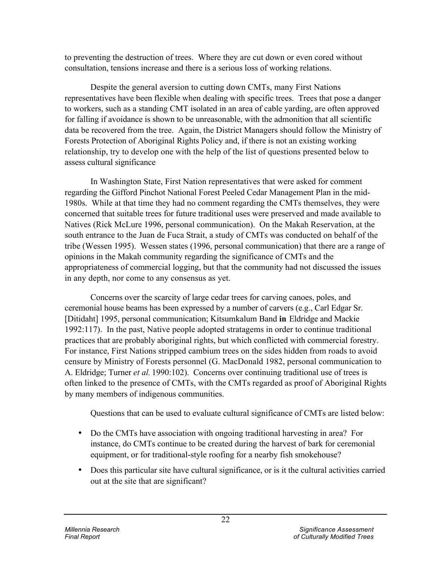to preventing the destruction of trees. Where they are cut down or even cored without consultation, tensions increase and there is a serious loss of working relations.

Despite the general aversion to cutting down CMTs, many First Nations representatives have been flexible when dealing with specific trees. Trees that pose a danger to workers, such as a standing CMT isolated in an area of cable yarding, are often approved for falling if avoidance is shown to be unreasonable, with the admonition that all scientific data be recovered from the tree. Again, the District Managers should follow the Ministry of Forests Protection of Aboriginal Rights Policy and, if there is not an existing working relationship, try to develop one with the help of the list of questions presented below to assess cultural significance

In Washington State, First Nation representatives that were asked for comment regarding the Gifford Pinchot National Forest Peeled Cedar Management Plan in the mid-1980s. While at that time they had no comment regarding the CMTs themselves, they were concerned that suitable trees for future traditional uses were preserved and made available to Natives (Rick McLure 1996, personal communication). On the Makah Reservation, at the south entrance to the Juan de Fuca Strait, a study of CMTs was conducted on behalf of the tribe (Wessen 1995). Wessen states (1996, personal communication) that there are a range of opinions in the Makah community regarding the significance of CMTs and the appropriateness of commercial logging, but that the community had not discussed the issues in any depth, nor come to any consensus as yet.

Concerns over the scarcity of large cedar trees for carving canoes, poles, and ceremonial house beams has been expressed by a number of carvers (e.g., Carl Edgar Sr. [Ditidaht] 1995, personal communication; Kitsumkalum Band **in** Eldridge and Mackie 1992:117). In the past, Native people adopted stratagems in order to continue traditional practices that are probably aboriginal rights, but which conflicted with commercial forestry. For instance, First Nations stripped cambium trees on the sides hidden from roads to avoid censure by Ministry of Forests personnel (G. MacDonald 1982, personal communication to A. Eldridge; Turner *et al.* 1990:102). Concerns over continuing traditional use of trees is often linked to the presence of CMTs, with the CMTs regarded as proof of Aboriginal Rights by many members of indigenous communities.

Questions that can be used to evaluate cultural significance of CMTs are listed below:

- Do the CMTs have association with ongoing traditional harvesting in area? For instance, do CMTs continue to be created during the harvest of bark for ceremonial equipment, or for traditional-style roofing for a nearby fish smokehouse?
- Does this particular site have cultural significance, or is it the cultural activities carried out at the site that are significant?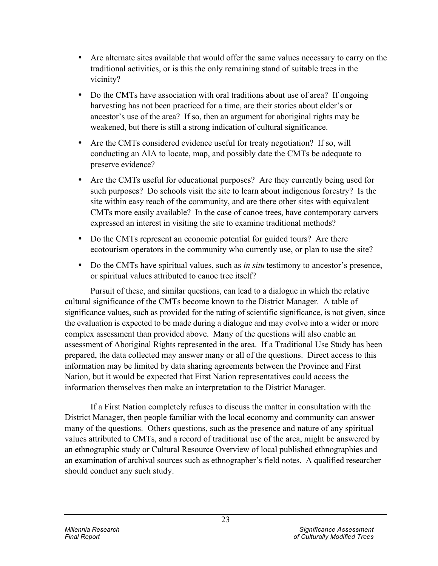- Are alternate sites available that would offer the same values necessary to carry on the traditional activities, or is this the only remaining stand of suitable trees in the vicinity?
- Do the CMTs have association with oral traditions about use of area? If ongoing harvesting has not been practiced for a time, are their stories about elder's or ancestor's use of the area? If so, then an argument for aboriginal rights may be weakened, but there is still a strong indication of cultural significance.
- Are the CMTs considered evidence useful for treaty negotiation? If so, will conducting an AIA to locate, map, and possibly date the CMTs be adequate to preserve evidence?
- Are the CMTs useful for educational purposes? Are they currently being used for such purposes? Do schools visit the site to learn about indigenous forestry? Is the site within easy reach of the community, and are there other sites with equivalent CMTs more easily available? In the case of canoe trees, have contemporary carvers expressed an interest in visiting the site to examine traditional methods?
- Do the CMTs represent an economic potential for guided tours? Are there ecotourism operators in the community who currently use, or plan to use the site?
- Do the CMTs have spiritual values, such as *in situ* testimony to ancestor's presence, or spiritual values attributed to canoe tree itself?

Pursuit of these, and similar questions, can lead to a dialogue in which the relative cultural significance of the CMTs become known to the District Manager. A table of significance values, such as provided for the rating of scientific significance, is not given, since the evaluation is expected to be made during a dialogue and may evolve into a wider or more complex assessment than provided above. Many of the questions will also enable an assessment of Aboriginal Rights represented in the area. If a Traditional Use Study has been prepared, the data collected may answer many or all of the questions. Direct access to this information may be limited by data sharing agreements between the Province and First Nation, but it would be expected that First Nation representatives could access the information themselves then make an interpretation to the District Manager.

If a First Nation completely refuses to discuss the matter in consultation with the District Manager, then people familiar with the local economy and community can answer many of the questions. Others questions, such as the presence and nature of any spiritual values attributed to CMTs, and a record of traditional use of the area, might be answered by an ethnographic study or Cultural Resource Overview of local published ethnographies and an examination of archival sources such as ethnographer's field notes. A qualified researcher should conduct any such study.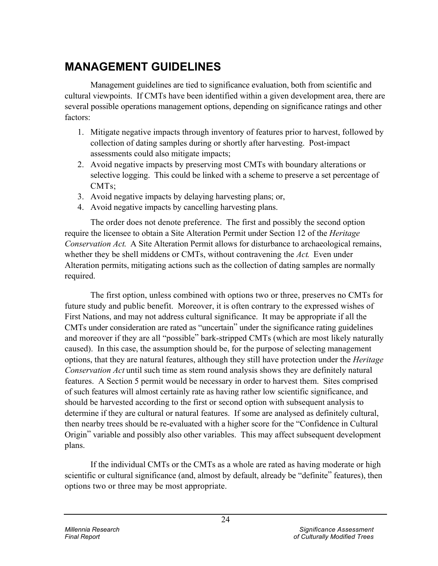# **MANAGEMENT GUIDELINES**

Management guidelines are tied to significance evaluation, both from scientific and cultural viewpoints. If CMTs have been identified within a given development area, there are several possible operations management options, depending on significance ratings and other factors:

- 1. Mitigate negative impacts through inventory of features prior to harvest, followed by collection of dating samples during or shortly after harvesting. Post-impact assessments could also mitigate impacts;
- 2. Avoid negative impacts by preserving most CMTs with boundary alterations or selective logging. This could be linked with a scheme to preserve a set percentage of CMTs;
- 3. Avoid negative impacts by delaying harvesting plans; or,
- 4. Avoid negative impacts by cancelling harvesting plans.

The order does not denote preference. The first and possibly the second option require the licensee to obtain a Site Alteration Permit under Section 12 of the *Heritage Conservation Act*. A Site Alteration Permit allows for disturbance to archaeological remains, whether they be shell middens or CMTs, without contravening the *Act*. Even under Alteration permits, mitigating actions such as the collection of dating samples are normally required.

The first option, unless combined with options two or three, preserves no CMTs for future study and public benefit. Moreover, it is often contrary to the expressed wishes of First Nations, and may not address cultural significance. It may be appropriate if all the CMTs under consideration are rated as "uncertain" under the significance rating guidelines and moreover if they are all "possible" bark-stripped CMTs (which are most likely naturally caused). In this case, the assumption should be, for the purpose of selecting management options, that they are natural features, although they still have protection under the *Heritage Conservation Act* until such time as stem round analysis shows they are definitely natural features. A Section 5 permit would be necessary in order to harvest them. Sites comprised of such features will almost certainly rate as having rather low scientific significance, and should be harvested according to the first or second option with subsequent analysis to determine if they are cultural or natural features. If some are analysed as definitely cultural, then nearby trees should be re-evaluated with a higher score for the "Confidence in Cultural Origin" variable and possibly also other variables. This may affect subsequent development plans.

If the individual CMTs or the CMTs as a whole are rated as having moderate or high scientific or cultural significance (and, almost by default, already be "definite" features), then options two or three may be most appropriate.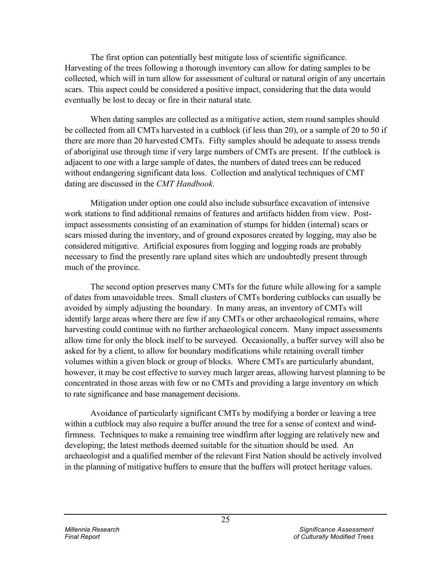The first option can potentially best mitigate loss of scientific significance. Harvesting of the trees following a thorough inventory can allow for dating samples to be collected, which will in turn allow for assessment of cultural or natural origin of any uncertain scars. This aspect could be considered a positive impact, considering that the data would eventually be lost to decay or fire in their natural state.

When dating samples are collected as a mitigative action, stem round samples should be collected from all CMTs harvested in a cutblock (if less than 20), or a sample of 20 to 50 if there are more than 20 harvested CMTs. Fifty samples should be adequate to assess trends of aboriginal use through time if very large numbers of CMTs are present. If the cutblock is adjacent to one with a large sample of dates, the numbers of dated trees can be reduced without endangering significant data loss. Collection and analytical techniques of CMT dating are discussed in the *CMT Handbook.*

Mitigation under option one could also include subsurface excavation of intensive work stations to find additional remains of features and artifacts hidden from view. Postimpact assessments consisting of an examination of stumps for hidden (internal) scars or scars missed during the inventory, and of ground exposures created by logging, may also be considered mitigative. Artificial exposures from logging and logging roads are probably necessary to find the presently rare upland sites which are undoubtedly present through much of the province.

The second option preserves many CMTs for the future while allowing for a sample of dates from unavoidable trees. Small clusters of CMTs bordering cutblocks can usually be avoided by simply adjusting the boundary. In many areas, an inventory of CMTs will identify large areas where there are few if any CMTs or other archaeological remains, where harvesting could continue with no further archaeological concern. Many impact assessments allow time for only the block itself to be surveyed. Occasionally, a buffer survey will also be asked for by a client, to allow for boundary modifications while retaining overall timber volumes within a given block or group of blocks. Where CMTs are particularly abundant, however, it may be cost effective to survey much larger areas, allowing harvest planning to be concentrated in those areas with few or no CMTs and providing a large inventory on which to rate significance and base management decisions.

Avoidance of particularly significant CMTs by modifying a border or leaving a tree within a cutblock may also require a buffer around the tree for a sense of context and windfirmness. Techniques to make a remaining tree windfirm after logging are relatively new and developing; the latest methods deemed suitable for the situation should be used. An archaeologist and a qualified member of the relevant First Nation should be actively involved in the planning of mitigative buffers to ensure that the buffers will protect heritage values.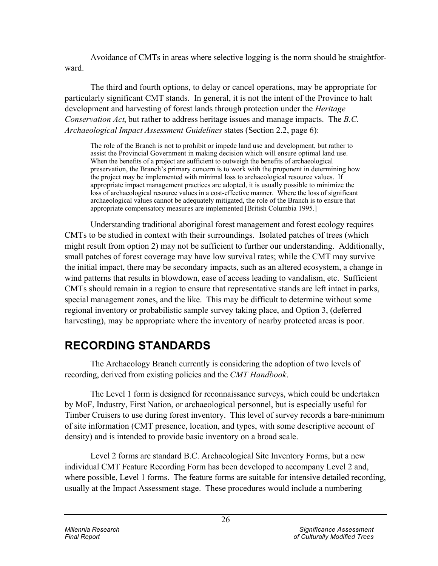Avoidance of CMTs in areas where selective logging is the norm should be straightforward.

The third and fourth options, to delay or cancel operations, may be appropriate for particularly significant CMT stands. In general, it is not the intent of the Province to halt development and harvesting of forest lands through protection under the *Heritage Conservation Act*, but rather to address heritage issues and manage impacts. The *B.C. Archaeological Impact Assessment Guidelines* states (Section 2.2, page 6):

The role of the Branch is not to prohibit or impede land use and development, but rather to assist the Provincial Government in making decision which will ensure optimal land use. When the benefits of a project are sufficient to outweigh the benefits of archaeological preservation, the Branch's primary concern is to work with the proponent in determining how the project may be implemented with minimal loss to archaeological resource values. If appropriate impact management practices are adopted, it is usually possible to minimize the loss of archaeological resource values in a cost-effective manner. Where the loss of significant archaeological values cannot be adequately mitigated, the role of the Branch is to ensure that appropriate compensatory measures are implemented [British Columbia 1995.]

Understanding traditional aboriginal forest management and forest ecology requires CMTs to be studied in context with their surroundings. Isolated patches of trees (which might result from option 2) may not be sufficient to further our understanding. Additionally, small patches of forest coverage may have low survival rates; while the CMT may survive the initial impact, there may be secondary impacts, such as an altered ecosystem, a change in wind patterns that results in blowdown, ease of access leading to vandalism, etc. Sufficient CMTs should remain in a region to ensure that representative stands are left intact in parks, special management zones, and the like. This may be difficult to determine without some regional inventory or probabilistic sample survey taking place, and Option 3, (deferred harvesting), may be appropriate where the inventory of nearby protected areas is poor.

# **RECORDING STANDARDS**

The Archaeology Branch currently is considering the adoption of two levels of recording, derived from existing policies and the *CMT Handbook*.

The Level 1 form is designed for reconnaissance surveys, which could be undertaken by MoF, Industry, First Nation, or archaeological personnel, but is especially useful for Timber Cruisers to use during forest inventory. This level of survey records a bare-minimum of site information (CMT presence, location, and types, with some descriptive account of density) and is intended to provide basic inventory on a broad scale.

Level 2 forms are standard B.C. Archaeological Site Inventory Forms, but a new individual CMT Feature Recording Form has been developed to accompany Level 2 and, where possible, Level 1 forms. The feature forms are suitable for intensive detailed recording, usually at the Impact Assessment stage. These procedures would include a numbering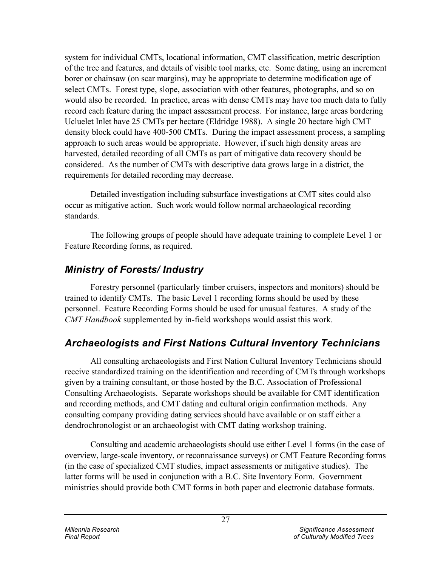system for individual CMTs, locational information, CMT classification, metric description of the tree and features, and details of visible tool marks, etc. Some dating, using an increment borer or chainsaw (on scar margins), may be appropriate to determine modification age of select CMTs. Forest type, slope, association with other features, photographs, and so on would also be recorded. In practice, areas with dense CMTs may have too much data to fully record each feature during the impact assessment process. For instance, large areas bordering Ucluelet Inlet have 25 CMTs per hectare (Eldridge 1988). A single 20 hectare high CMT density block could have 400-500 CMTs. During the impact assessment process, a sampling approach to such areas would be appropriate. However, if such high density areas are harvested, detailed recording of all CMTs as part of mitigative data recovery should be considered. As the number of CMTs with descriptive data grows large in a district, the requirements for detailed recording may decrease.

Detailed investigation including subsurface investigations at CMT sites could also occur as mitigative action. Such work would follow normal archaeological recording standards.

The following groups of people should have adequate training to complete Level 1 or Feature Recording forms, as required.

# *Ministry of Forests/ Industry*

Forestry personnel (particularly timber cruisers, inspectors and monitors) should be trained to identify CMTs. The basic Level 1 recording forms should be used by these personnel. Feature Recording Forms should be used for unusual features. A study of the *CMT Handbook* supplemented by in-field workshops would assist this work.

# *Archaeologists and First Nations Cultural Inventory Technicians*

All consulting archaeologists and First Nation Cultural Inventory Technicians should receive standardized training on the identification and recording of CMTs through workshops given by a training consultant, or those hosted by the B.C. Association of Professional Consulting Archaeologists. Separate workshops should be available for CMT identification and recording methods, and CMT dating and cultural origin confirmation methods. Any consulting company providing dating services should have available or on staff either a dendrochronologist or an archaeologist with CMT dating workshop training.

Consulting and academic archaeologists should use either Level 1 forms (in the case of overview, large-scale inventory, or reconnaissance surveys) or CMT Feature Recording forms (in the case of specialized CMT studies, impact assessments or mitigative studies). The latter forms will be used in conjunction with a B.C. Site Inventory Form. Government ministries should provide both CMT forms in both paper and electronic database formats.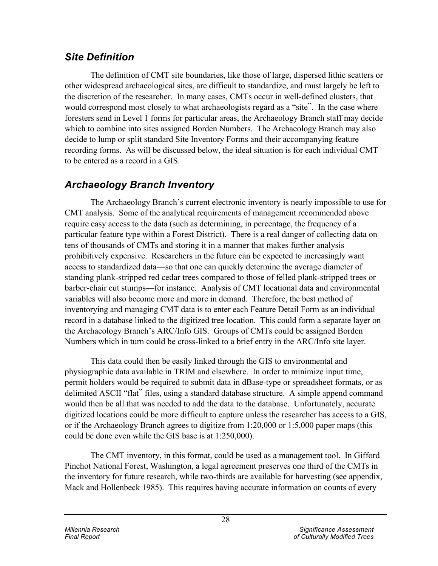# *Site Definition*

The definition of CMT site boundaries, like those of large, dispersed lithic scatters or other widespread archaeological sites, are difficult to standardize, and must largely be left to the discretion of the researcher. In many cases, CMTs occur in well-defined clusters, that would correspond most closely to what archaeologists regard as a "site". In the case where foresters send in Level 1 forms for particular areas, the Archaeology Branch staff may decide which to combine into sites assigned Borden Numbers. The Archaeology Branch may also decide to lump or split standard Site Inventory Forms and their accompanying feature recording forms. As will be discussed below, the ideal situation is for each individual CMT to be entered as a record in a GIS.

# *Archaeology Branch Inventory*

The Archaeology Branch's current electronic inventory is nearly impossible to use for CMT analysis. Some of the analytical requirements of management recommended above require easy access to the data (such as determining, in percentage, the frequency of a particular feature type within a Forest District). There is a real danger of collecting data on tens of thousands of CMTs and storing it in a manner that makes further analysis prohibitively expensive. Researchers in the future can be expected to increasingly want access to standardized data—so that one can quickly determine the average diameter of standing plank-stripped red cedar trees compared to those of felled plank-stripped trees or barber-chair cut stumps—for instance. Analysis of CMT locational data and environmental variables will also become more and more in demand. Therefore, the best method of inventorying and managing CMT data is to enter each Feature Detail Form as an individual record in a database linked to the digitized tree location. This could form a separate layer on the Archaeology Branch's ARC/Info GIS. Groups of CMTs could be assigned Borden Numbers which in turn could be cross-linked to a brief entry in the ARC/Info site layer.

This data could then be easily linked through the GIS to environmental and physiographic data available in TRIM and elsewhere. In order to minimize input time, permit holders would be required to submit data in dBase-type or spreadsheet formats, or as delimited ASCII "flat" files, using a standard database structure. A simple append command would then be all that was needed to add the data to the database. Unfortunately, accurate digitized locations could be more difficult to capture unless the researcher has access to a GIS, or if the Archaeology Branch agrees to digitize from 1:20,000 or 1:5,000 paper maps (this could be done even while the GIS base is at 1:250,000).

The CMT inventory, in this format, could be used as a management tool. In Gifford Pinchot National Forest, Washington, a legal agreement preserves one third of the CMTs in the inventory for future research, while two-thirds are available for harvesting (see appendix, Mack and Hollenbeck 1985). This requires having accurate information on counts of every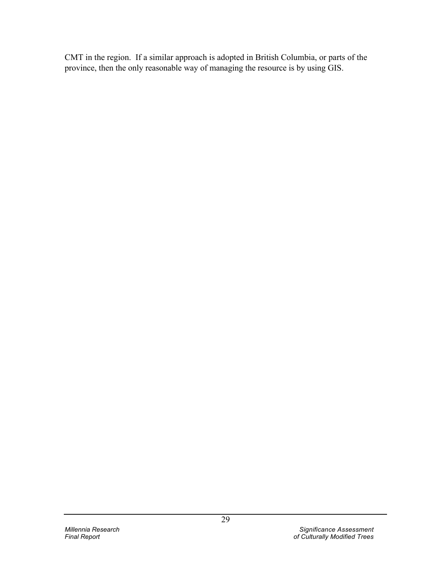CMT in the region. If a similar approach is adopted in British Columbia, or parts of the province, then the only reasonable way of managing the resource is by using GIS.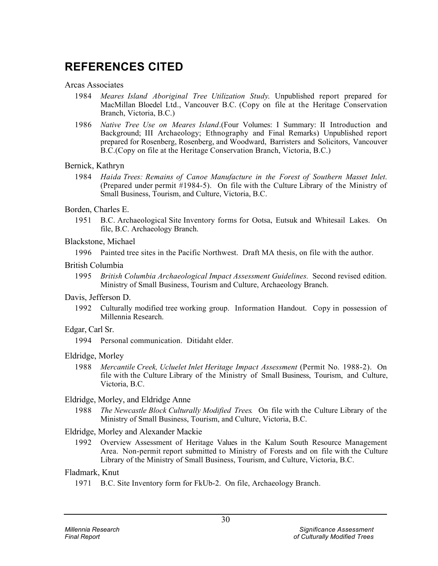# **REFERENCES CITED**

Arcas Associates

- 1984 *Meares Island Aboriginal Tree Utilization Study*. Unpublished report prepared for MacMillan Bloedel Ltd., Vancouver B.C. (Copy on file at the Heritage Conservation Branch, Victoria, B.C.)
- 1986 *Native Tree Use on Meares Island*.(Four Volumes: I Summary: II Introduction and Background; III Archaeology; Ethnography and Final Remarks) Unpublished report prepared for Rosenberg, Rosenberg, and Woodward, Barristers and Solicitors, Vancouver B.C.(Copy on file at the Heritage Conservation Branch, Victoria, B.C.)

### Bernick, Kathryn

- 1984 *Haida Trees: Remains of Canoe Manufacture in the Forest of Southern Masset Inlet*. (Prepared under permit #1984-5). On file with the Culture Library of the Ministry of Small Business, Tourism, and Culture, Victoria, B.C.
- Borden, Charles E.
	- 1951 B.C. Archaeological Site Inventory forms for Ootsa, Eutsuk and Whitesail Lakes. On file, B.C. Archaeology Branch.

### Blackstone, Michael

1996 Painted tree sites in the Pacific Northwest. Draft MA thesis, on file with the author.

### British Columbia

1995 *British Columbia Archaeological Impact Assessment Guidelines.* Second revised edition. Ministry of Small Business, Tourism and Culture, Archaeology Branch.

### Davis, Jefferson D.

1992 Culturally modified tree working group. Information Handout. Copy in possession of Millennia Research.

### Edgar, Carl Sr.

1994 Personal communication. Ditidaht elder.

### Eldridge, Morley

1988 *Mercantile Creek, Ucluelet Inlet Heritage Impact Assessment* (Permit No. 1988-2). On file with the Culture Library of the Ministry of Small Business, Tourism, and Culture, Victoria, B.C.

### Eldridge, Morley, and Eldridge Anne

1988 *The Newcastle Block Culturally Modified Trees*. On file with the Culture Library of the Ministry of Small Business, Tourism, and Culture, Victoria, B.C.

### Eldridge, Morley and Alexander Mackie

1992 Overview Assessment of Heritage Values in the Kalum South Resource Management Area. Non-permit report submitted to Ministry of Forests and on file with the Culture Library of the Ministry of Small Business, Tourism, and Culture, Victoria, B.C.

### Fladmark, Knut

1971 B.C. Site Inventory form for FkUb-2. On file, Archaeology Branch.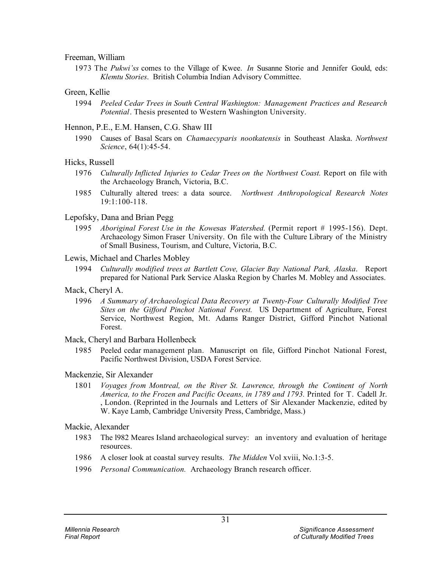#### Freeman, William

1973 The *Pukwi'ss* comes to the Village of Kwee. *In* Susanne Storie and Jennifer Gould, eds: *Klemtu Stories*. British Columbia Indian Advisory Committee.

#### Green, Kellie

1994 *Peeled Cedar Trees in South Central Washington: Management Practices and Research Potential*. Thesis presented to Western Washington University.

#### Hennon, P.E., E.M. Hansen, C.G. Shaw III

1990 Causes of Basal Scars on *Chamaecyparis nootkatensis* in Southeast Alaska. *Northwest Science*, 64(1):45-54.

#### Hicks, Russell

- 1976 *Culturally Inflicted Injuries to Cedar Trees on the Northwest Coast.* Report on file with the Archaeology Branch, Victoria, B.C.
- 1985 Culturally altered trees: a data source. *Northwest Anthropological Research Notes* 19:1:100-118.

#### Lepofsky, Dana and Brian Pegg

1995 *Aboriginal Forest Use in the Kowesas Watershed.* (Permit report # 1995-156). Dept. Archaeology Simon Fraser University. On file with the Culture Library of the Ministry of Small Business, Tourism, and Culture, Victoria, B.C.

#### Lewis, Michael and Charles Mobley

1994 *Culturally modified trees at Bartlett Cove, Glacier Bay National Park, Alaska*. Report prepared for National Park Service Alaska Region by Charles M. Mobley and Associates.

#### Mack, Cheryl A.

1996 *A Summary of Archaeological Data Recovery at Twenty-Four Culturally Modified Tree Sites on the Gifford Pinchot National Forest.* US Department of Agriculture, Forest Service, Northwest Region, Mt. Adams Ranger District, Gifford Pinchot National Forest.

#### Mack, Cheryl and Barbara Hollenbeck

1985 Peeled cedar management plan. Manuscript on file, Gifford Pinchot National Forest, Pacific Northwest Division, USDA Forest Service.

### Mackenzie, Sir Alexander

1801 *Voyages from Montreal, on the River St. Lawrence, through the Continent of North America, to the Frozen and Pacific Oceans, in 1789 and 1793.* Printed for T. Cadell Jr. London. (Reprinted in the Journals and Letters of Sir Alexander Mackenzie, edited by W. Kaye Lamb, Cambridge University Press, Cambridge, Mass.)

#### Mackie, Alexander

- 1983 The l982 Meares Island archaeological survey: an inventory and evaluation of heritage resources.
- 1986 A closer look at coastal survey results. *The Midden* Vol xviii, No.1:3-5.
- 1996 *Personal Communication.* Archaeology Branch research officer.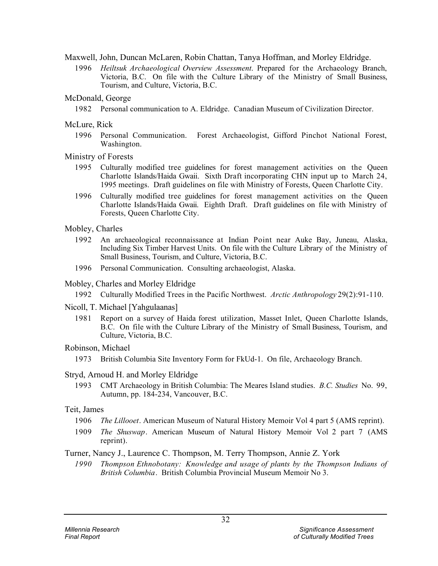Maxwell, John, Duncan McLaren, Robin Chattan, Tanya Hoffman, and Morley Eldridge.

- 1996 *Heiltsuk Archaeological Overview Assessment*. Prepared for the Archaeology Branch, Victoria, B.C. On file with the Culture Library of the Ministry of Small Business, Tourism, and Culture, Victoria, B.C.
- McDonald, George
	- 1982 Personal communication to A. Eldridge. Canadian Museum of Civilization Director.
- McLure, Rick
	- 1996 Personal Communication. Forest Archaeologist, Gifford Pinchot National Forest, Washington.
- Ministry of Forests
	- 1995 Culturally modified tree guidelines for forest management activities on the Queen Charlotte Islands/Haida Gwaii. Sixth Draft incorporating CHN input up to March 24, 1995 meetings. Draft guidelines on file with Ministry of Forests, Queen Charlotte City.
	- 1996 Culturally modified tree guidelines for forest management activities on the Queen Charlotte Islands/Haida Gwaii. Eighth Draft. Draft guidelines on file with Ministry of Forests, Queen Charlotte City.
- Mobley, Charles
	- 1992 An archaeological reconnaissance at Indian Point near Auke Bay, Juneau, Alaska, Including Six Timber Harvest Units. On file with the Culture Library of the Ministry of Small Business, Tourism, and Culture, Victoria, B.C.
	- 1996 Personal Communication. Consulting archaeologist, Alaska.
- Mobley, Charles and Morley Eldridge
	- 1992 Culturally Modified Trees in the Pacific Northwest. *Arctic Anthropology* 29(2):91-110.
- Nicoll, T. Michael [Yahgulaanas]
	- 1981 Report on a survey of Haida forest utilization, Masset Inlet, Queen Charlotte Islands, B.C. On file with the Culture Library of the Ministry of Small Business, Tourism, and Culture, Victoria, B.C.
- Robinson, Michael
	- 1973 British Columbia Site Inventory Form for FkUd-1. On file, Archaeology Branch.

### Stryd, Arnoud H. and Morley Eldridge

1993 CMT Archaeology in British Columbia: The Meares Island studies. *B.C. Studies* No. 99, Autumn, pp. 184-234, Vancouver, B.C.

### Teit, James

- 1906 *The Lillooet*. American Museum of Natural History Memoir Vol 4 part 5 (AMS reprint).
- 1909 *The Shuswap*. American Museum of Natural History Memoir Vol 2 part 7 (AMS reprint).

### Turner, Nancy J., Laurence C. Thompson, M. Terry Thompson, Annie Z. York

*1990 Thompson Ethnobotany: Knowledge and usage of plants by the Thompson Indians of British Columbia*. British Columbia Provincial Museum Memoir No 3.